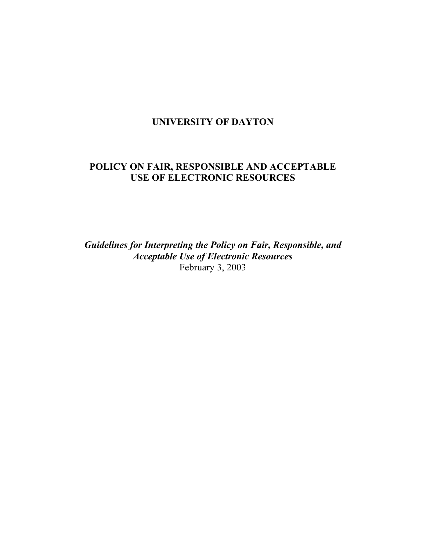# **UNIVERSITY OF DAYTON**

# **POLICY ON FAIR, RESPONSIBLE AND ACCEPTABLE USE OF ELECTRONIC RESOURCES**

*Guidelines for Interpreting the Policy on Fair, Responsible, and Acceptable Use of Electronic Resources*  February 3, 2003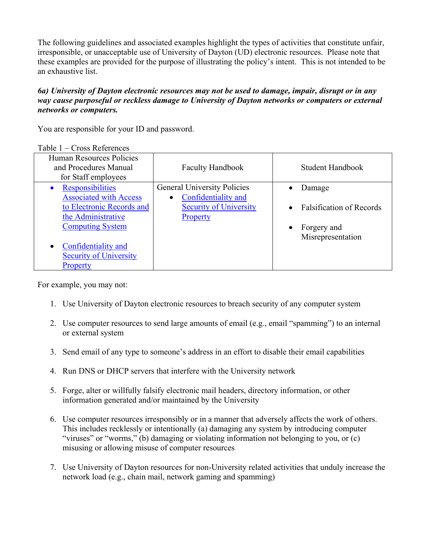The following guidelines and associated examples highlight the types of activities that constitute unfair, irresponsible, or unacceptable use of University of Dayton (UD) electronic resources. Please note that these examples are provided for the purpose of illustrating the policy's intent. This is not intended to be an exhaustive list.

### *6a) University of Dayton electronic resources may not be used to damage, impair, disrupt or in any way cause purposeful or reckless damage to University of Dayton networks or computers or external networks or computers.*

You are responsible for your ID and password.

| <u>Camarante Report</u>                                                  |                                    |                                              |
|--------------------------------------------------------------------------|------------------------------------|----------------------------------------------|
| Human Resources Policies<br>and Procedures Manual<br>for Staff employees | <b>Faculty Handbook</b>            | Student Handbook                             |
| <b>Responsibilities</b><br>$\bullet$                                     | <b>General University Policies</b> | Damage                                       |
| <b>Associated with Access</b>                                            | Confidentiality and<br>$\bullet$   |                                              |
| to Electronic Records and                                                | <b>Security of University</b>      | <b>Falsification of Records</b><br>$\bullet$ |
| the Administrative                                                       | <b>Property</b>                    |                                              |
| <b>Computing System</b>                                                  |                                    | Forgery and<br>$\bullet$                     |
|                                                                          |                                    | Misrepresentation                            |
| Confidentiality and<br>$\bullet$                                         |                                    |                                              |
| <b>Security of University</b>                                            |                                    |                                              |
| Property                                                                 |                                    |                                              |

Table 1 – Cross References

- 1. Use University of Dayton electronic resources to breach security of any computer system
- 2. Use computer resources to send large amounts of email (e.g., email "spamming") to an internal or external system
- 3. Send email of any type to someone's address in an effort to disable their email capabilities
- 4. Run DNS or DHCP servers that interfere with the University network
- 5. Forge, alter or willfully falsify electronic mail headers, directory information, or other information generated and/or maintained by the University
- 6. Use computer resources irresponsibly or in a manner that adversely affects the work of others. This includes recklessly or intentionally (a) damaging any system by introducing computer "viruses" or "worms," (b) damaging or violating information not belonging to you, or (c) misusing or allowing misuse of computer resources
- 7. Use University of Dayton resources for non-University related activities that unduly increase the network load (e.g., chain mail, network gaming and spamming)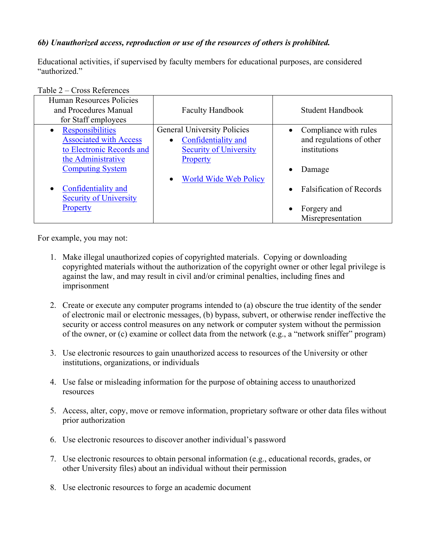## *6b) Unauthorized access, reproduction or use of the resources of others is prohibited.*

Educational activities, if supervised by faculty members for educational purposes, are considered "authorized"

| Human Resources Policies<br>and Procedures Manual<br>for Staff employees | <b>Faculty Handbook</b>                                                | Student Handbook                                               |
|--------------------------------------------------------------------------|------------------------------------------------------------------------|----------------------------------------------------------------|
| Responsibilities<br>$\bullet$<br><b>Associated with Access</b>           | <b>General University Policies</b><br>Confidentiality and<br>$\bullet$ | Compliance with rules<br>$\bullet$<br>and regulations of other |
| to Electronic Records and                                                | <b>Security of University</b>                                          | institutions                                                   |
| the Administrative                                                       | <b>Property</b>                                                        |                                                                |
| <b>Computing System</b>                                                  |                                                                        | Damage<br>$\bullet$                                            |
|                                                                          | <b>World Wide Web Policy</b><br>$\bullet$                              |                                                                |
| Confidentiality and<br>$\bullet$                                         |                                                                        | <b>Falsification of Records</b><br>$\bullet$                   |
| <b>Security of University</b>                                            |                                                                        |                                                                |
| Property                                                                 |                                                                        | Forgery and<br>$\bullet$                                       |
|                                                                          |                                                                        | Misrepresentation                                              |

Table 2 – Cross References

- 1. Make illegal unauthorized copies of copyrighted materials. Copying or downloading copyrighted materials without the authorization of the copyright owner or other legal privilege is against the law, and may result in civil and/or criminal penalties, including fines and imprisonment
- 2. Create or execute any computer programs intended to (a) obscure the true identity of the sender of electronic mail or electronic messages, (b) bypass, subvert, or otherwise render ineffective the security or access control measures on any network or computer system without the permission of the owner, or (c) examine or collect data from the network (e.g., a "network sniffer" program)
- 3. Use electronic resources to gain unauthorized access to resources of the University or other institutions, organizations, or individuals
- 4. Use false or misleading information for the purpose of obtaining access to unauthorized resources
- 5. Access, alter, copy, move or remove information, proprietary software or other data files without prior authorization
- 6. Use electronic resources to discover another individual's password
- 7. Use electronic resources to obtain personal information (e.g., educational records, grades, or other University files) about an individual without their permission
- 8. Use electronic resources to forge an academic document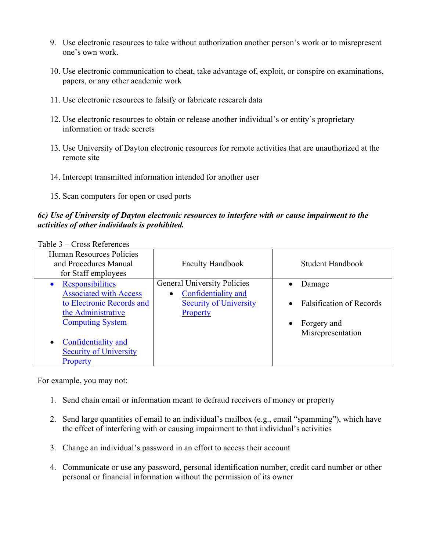- 9. Use electronic resources to take without authorization another person's work or to misrepresent one's own work.
- 10. Use electronic communication to cheat, take advantage of, exploit, or conspire on examinations, papers, or any other academic work
- 11. Use electronic resources to falsify or fabricate research data
- 12. Use electronic resources to obtain or release another individual's or entity's proprietary information or trade secrets
- 13. Use University of Dayton electronic resources for remote activities that are unauthorized at the remote site
- 14. Intercept transmitted information intended for another user
- 15. Scan computers for open or used ports

### *6c) Use of University of Dayton electronic resources to interfere with or cause impairment to the activities of other individuals is prohibited.*

|  |  | Table 3 – Cross References |
|--|--|----------------------------|
|--|--|----------------------------|

| <u>on maardich</u>                                                       |                                    |                                              |
|--------------------------------------------------------------------------|------------------------------------|----------------------------------------------|
| Human Resources Policies<br>and Procedures Manual<br>for Staff employees | <b>Faculty Handbook</b>            | Student Handbook                             |
| <b>Responsibilities</b><br>$\bullet$                                     | <b>General University Policies</b> | Damage                                       |
| <b>Associated with Access</b>                                            | Confidentiality and<br>$\bullet$   |                                              |
| to Electronic Records and                                                | <b>Security of University</b>      | <b>Falsification of Records</b><br>$\bullet$ |
| the Administrative                                                       | <b>Property</b>                    |                                              |
| <b>Computing System</b>                                                  |                                    | Forgery and<br>$\bullet$                     |
|                                                                          |                                    | Misrepresentation                            |
| Confidentiality and<br>$\bullet$                                         |                                    |                                              |
| <b>Security of University</b>                                            |                                    |                                              |
| Property                                                                 |                                    |                                              |

- 1. Send chain email or information meant to defraud receivers of money or property
- 2. Send large quantities of email to an individual's mailbox (e.g., email "spamming"), which have the effect of interfering with or causing impairment to that individual's activities
- 3. Change an individual's password in an effort to access their account
- 4. Communicate or use any password, personal identification number, credit card number or other personal or financial information without the permission of its owner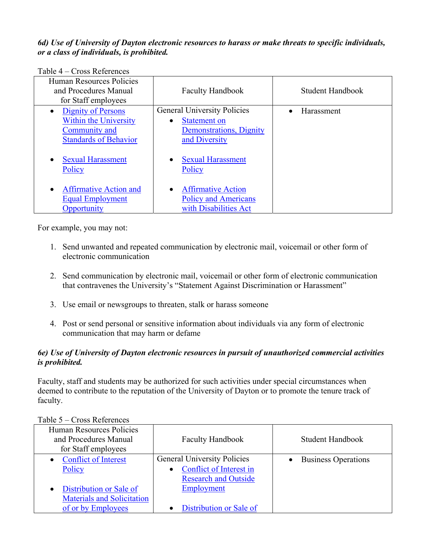#### *6d) Use of University of Dayton electronic resources to harass or make threats to specific individuals, or a class of individuals, is prohibited.*

| Human Resources Policies<br>and Procedures Manual<br>for Staff employees                                  | <b>Faculty Handbook</b>                                                                                            | Student Handbook |
|-----------------------------------------------------------------------------------------------------------|--------------------------------------------------------------------------------------------------------------------|------------------|
| Dignity of Persons<br>$\bullet$<br>Within the University<br>Community and<br><b>Standards of Behavior</b> | <b>General University Policies</b><br><b>Statement on</b><br>$\bullet$<br>Demonstrations, Dignity<br>and Diversity | Harassment       |
| <b>Sexual Harassment</b><br>$\bullet$<br>Policy                                                           | <b>Sexual Harassment</b><br>$\bullet$<br>Policy                                                                    |                  |
| <b>Affirmative Action and</b><br>$\bullet$<br><b>Equal Employment</b><br>Opportunity                      | <b>Affirmative Action</b><br>$\bullet$<br><b>Policy and Americans</b><br>with Disabilities Act                     |                  |

Table 4 – Cross References

For example, you may not:

- 1. Send unwanted and repeated communication by electronic mail, voicemail or other form of electronic communication
- 2. Send communication by electronic mail, voicemail or other form of electronic communication that contravenes the University's "Statement Against Discrimination or Harassment"
- 3. Use email or newsgroups to threaten, stalk or harass someone
- 4. Post or send personal or sensitive information about individuals via any form of electronic communication that may harm or defame

### *6e) Use of University of Dayton electronic resources in pursuit of unauthorized commercial activities is prohibited.*

Faculty, staff and students may be authorized for such activities under special circumstances when deemed to contribute to the reputation of the University of Dayton or to promote the tenure track of faculty.

| Human Resources Policies<br>and Procedures Manual<br>for Staff employees | <b>Faculty Handbook</b>                                                                      | Student Handbook                        |
|--------------------------------------------------------------------------|----------------------------------------------------------------------------------------------|-----------------------------------------|
| <b>Conflict of Interest</b><br>$\bullet$<br>Policy                       | <b>General University Policies</b><br>Conflict of Interest in<br><b>Research and Outside</b> | <b>Business Operations</b><br>$\bullet$ |
| Distribution or Sale of<br>$\bullet$                                     | Employment                                                                                   |                                         |
| <b>Materials and Solicitation</b><br>of or by Employees                  | Distribution or Sale of                                                                      |                                         |

Table 5 – Cross References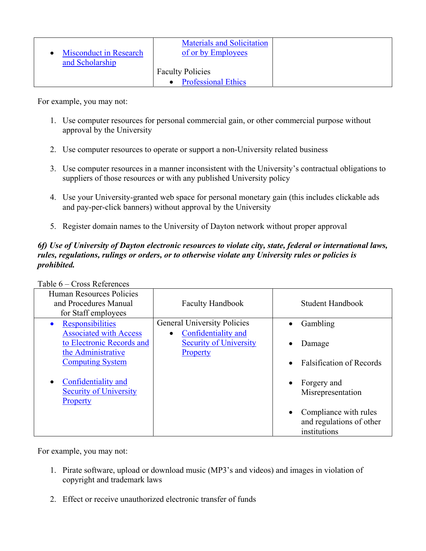| <b>Misconduct in Research</b><br>and Scholarship | <b>Materials and Solicitation</b><br>of or by Employees |  |
|--------------------------------------------------|---------------------------------------------------------|--|
|                                                  | <b>Faculty Policies</b><br><b>Professional Ethics</b>   |  |

For example, you may not:

- 1. Use computer resources for personal commercial gain, or other commercial purpose without approval by the University
- 2. Use computer resources to operate or support a non-University related business
- 3. Use computer resources in a manner inconsistent with the University's contractual obligations to suppliers of those resources or with any published University policy
- 4. Use your University-granted web space for personal monetary gain (this includes clickable ads and pay-per-click banners) without approval by the University
- 5. Register domain names to the University of Dayton network without proper approval

#### *6f) Use of University of Dayton electronic resources to violate city, state, federal or international laws, rules, regulations, rulings or orders, or to otherwise violate any University rules or policies is prohibited.*

Table 6 – Cross References

| Human Resources Policies<br>and Procedures Manual<br>for Staff employees | <b>Faculty Handbook</b>                                   | Student Handbook                                                               |
|--------------------------------------------------------------------------|-----------------------------------------------------------|--------------------------------------------------------------------------------|
| <b>Responsibilities</b><br><b>Associated with Access</b>                 | <b>General University Policies</b><br>Confidentiality and | Gambling                                                                       |
| to Electronic Records and<br>the Administrative                          | <b>Security of University</b><br>Property                 | Damage                                                                         |
| <b>Computing System</b>                                                  |                                                           | <b>Falsification of Records</b><br>$\bullet$                                   |
| Confidentiality and<br><b>Security of University</b><br><b>Property</b>  |                                                           | Forgery and<br>$\bullet$<br>Misrepresentation                                  |
|                                                                          |                                                           | Compliance with rules<br>$\bullet$<br>and regulations of other<br>institutions |

- 1. Pirate software, upload or download music (MP3's and videos) and images in violation of copyright and trademark laws
- 2. Effect or receive unauthorized electronic transfer of funds